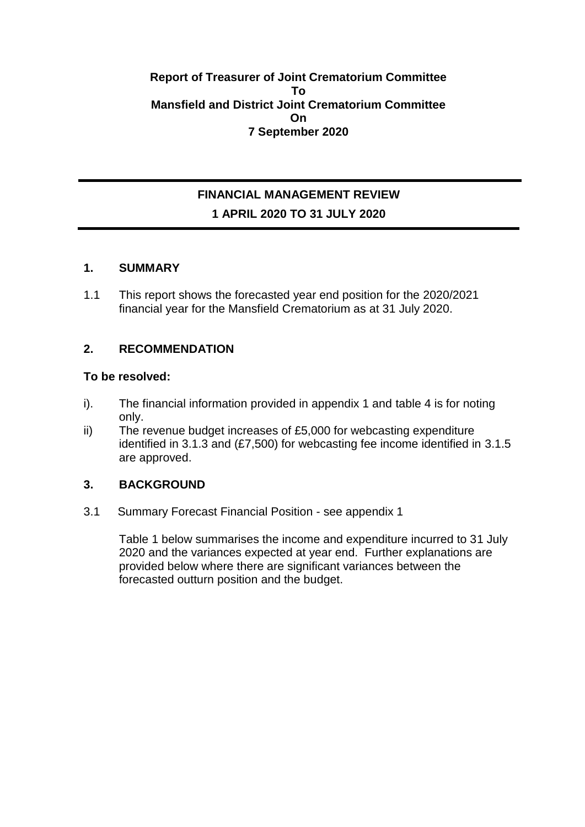### **Report of Treasurer of Joint Crematorium Committee To Mansfield and District Joint Crematorium Committee On 7 September 2020**

# **FINANCIAL MANAGEMENT REVIEW 1 APRIL 2020 TO 31 JULY 2020**

### **1. SUMMARY**

1.1 This report shows the forecasted year end position for the 2020/2021 financial year for the Mansfield Crematorium as at 31 July 2020.

# **2. RECOMMENDATION**

### **To be resolved:**

- i). The financial information provided in appendix 1 and table 4 is for noting only.
- ii) The revenue budget increases of £5,000 for webcasting expenditure identified in 3.1.3 and (£7,500) for webcasting fee income identified in 3.1.5 are approved.

# **3. BACKGROUND**

3.1 Summary Forecast Financial Position - see appendix 1

Table 1 below summarises the income and expenditure incurred to 31 July 2020 and the variances expected at year end. Further explanations are provided below where there are significant variances between the forecasted outturn position and the budget.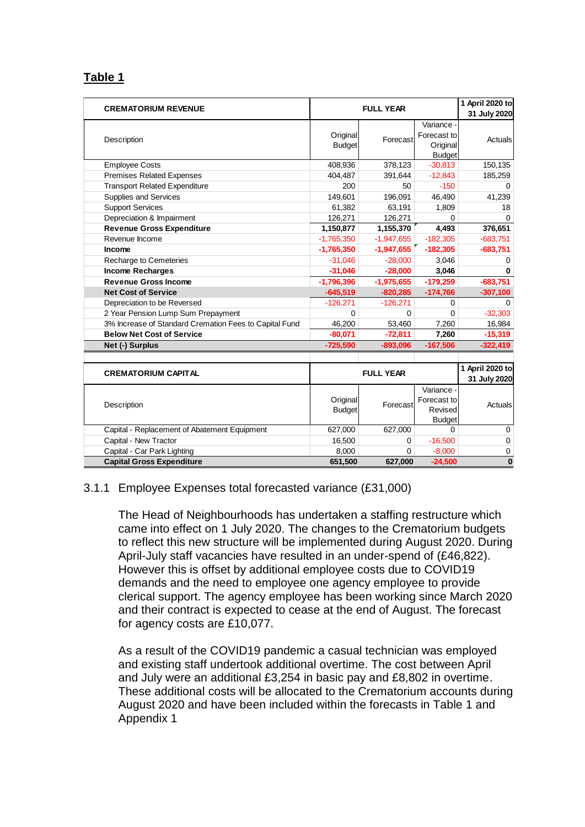# **Table 1**

| <b>CREMATORIUM REVENUE</b>                             |                           | <b>FULL YEAR</b> |                                                        | 1 April 2020 to<br>31 July 2020 |
|--------------------------------------------------------|---------------------------|------------------|--------------------------------------------------------|---------------------------------|
| Description                                            | Original<br><b>Budget</b> | Forecast         | Variance -<br>Forecast to<br>Original<br><b>Budget</b> | Actuals                         |
| <b>Employee Costs</b>                                  | 408,936                   | 378,123          | $-30,813$                                              | 150,135                         |
| Premises Related Expenses                              | 404,487                   | 391,644          | $-12,843$                                              | 185,259                         |
| <b>Transport Related Expenditure</b>                   | 200                       | 50               | $-150$                                                 | 0                               |
| Supplies and Services                                  | 149,601                   | 196,091          | 46,490                                                 | 41,239                          |
| <b>Support Services</b>                                | 61,382                    | 63,191           | 1,809                                                  | 18                              |
| Depreciation & Impairment                              | 126,271                   | 126,271          | 0                                                      | $\Omega$                        |
| <b>Revenue Gross Expenditure</b>                       | 1,150,877                 | 1,155,370        | 4,493                                                  | 376,651                         |
| Revenue Income                                         | $-1,765,350$              | $-1,947,655$     | $-182,305$                                             | $-683,751$                      |
| <b>Income</b>                                          | $-1,765,350$              | $-1,947,655$     | $-182,305$                                             | $-683,751$                      |
| Recharge to Cemeteries                                 | $-31,046$                 | $-28,000$        | 3,046                                                  | 0                               |
| <b>Income Recharges</b>                                | $-31,046$                 | $-28,000$        | 3,046                                                  | 0                               |
| <b>Revenue Gross Income</b>                            | $-1,796,396$              | $-1,975,655$     | $-179,259$                                             | $-683,751$                      |
| <b>Net Cost of Service</b>                             | $-645,519$                | $-820,285$       | $-174,766$                                             | $-307,100$                      |
| Depreciation to be Reversed                            | $-126.271$                | $-126.271$       | 0                                                      | $\Omega$                        |
| 2 Year Pension Lump Sum Prepayment                     | $\Omega$                  | 0                | $\Omega$                                               | $-32,303$                       |
| 3% Increase of Standard Cremation Fees to Capital Fund | 46,200                    | 53,460           | 7,260                                                  | 16,984                          |
| <b>Below Net Cost of Service</b>                       | $-80,071$                 | $-72,811$        | 7,260                                                  | $-15,319$                       |
| Net (-) Surplus                                        | $-725,590$                | $-893,096$       | $-167,506$                                             | $-322,419$                      |
|                                                        |                           |                  |                                                        |                                 |
| <b>CREMATORIUM CAPITAL</b>                             | <b>FULL YEAR</b>          |                  | 1 April 2020 to<br>31 July 2020                        |                                 |
| Description                                            | Original<br><b>Budget</b> | Forecast         | Variance -<br>Forecast to<br>Revised<br><b>Budget</b>  | Actuals                         |
| Capital - Replacement of Abatement Equipment           | 627,000                   | 627,000          | 0                                                      | 0                               |
| Capital - New Tractor                                  | 16,500                    | 0                | $-16,500$                                              | 0                               |
| Capital - Car Park Lighting                            | 8,000                     | $\Omega$         | $-8.000$                                               | 0                               |
| <b>Capital Gross Expenditure</b>                       | 651,500                   | 627,000          | $-24,500$                                              | $\bf{0}$                        |

### 3.1.1 Employee Expenses total forecasted variance (£31,000)

The Head of Neighbourhoods has undertaken a staffing restructure which came into effect on 1 July 2020. The changes to the Crematorium budgets to reflect this new structure will be implemented during August 2020. During April-July staff vacancies have resulted in an under-spend of (£46,822). However this is offset by additional employee costs due to COVID19 demands and the need to employee one agency employee to provide clerical support. The agency employee has been working since March 2020 and their contract is expected to cease at the end of August. The forecast for agency costs are £10,077.

As a result of the COVID19 pandemic a casual technician was employed and existing staff undertook additional overtime. The cost between April and July were an additional £3,254 in basic pay and £8,802 in overtime. These additional costs will be allocated to the Crematorium accounts during August 2020 and have been included within the forecasts in Table 1 and Appendix 1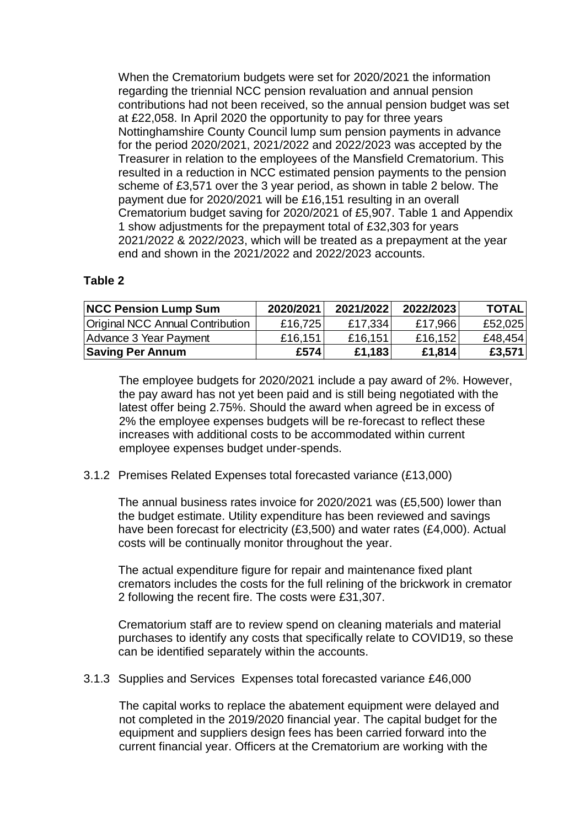When the Crematorium budgets were set for 2020/2021 the information regarding the triennial NCC pension revaluation and annual pension contributions had not been received, so the annual pension budget was set at £22,058. In April 2020 the opportunity to pay for three years Nottinghamshire County Council lump sum pension payments in advance for the period 2020/2021, 2021/2022 and 2022/2023 was accepted by the Treasurer in relation to the employees of the Mansfield Crematorium. This resulted in a reduction in NCC estimated pension payments to the pension scheme of £3,571 over the 3 year period, as shown in table 2 below. The payment due for 2020/2021 will be £16,151 resulting in an overall Crematorium budget saving for 2020/2021 of £5,907. Table 1 and Appendix 1 show adjustments for the prepayment total of £32,303 for years 2021/2022 & 2022/2023, which will be treated as a prepayment at the year end and shown in the 2021/2022 and 2022/2023 accounts.

## **Table 2**

| <b>NCC Pension Lump Sum</b>             | 2020/2021 | 2021/2022 | 2022/2023 | <b>TOTAL</b> |
|-----------------------------------------|-----------|-----------|-----------|--------------|
| <b>Original NCC Annual Contribution</b> | £16,725   | £17,334   | £17,966   | £52,025      |
| Advance 3 Year Payment                  | £16,151   | £16,151   | £16,152   | £48,454      |
| <b>Saving Per Annum</b>                 | £574      | £1,183    | £1,814    | £3,571       |

The employee budgets for 2020/2021 include a pay award of 2%. However, the pay award has not yet been paid and is still being negotiated with the latest offer being 2.75%. Should the award when agreed be in excess of 2% the employee expenses budgets will be re-forecast to reflect these increases with additional costs to be accommodated within current employee expenses budget under-spends.

### 3.1.2 Premises Related Expenses total forecasted variance (£13,000)

The annual business rates invoice for 2020/2021 was (£5,500) lower than the budget estimate. Utility expenditure has been reviewed and savings have been forecast for electricity (£3,500) and water rates (£4,000). Actual costs will be continually monitor throughout the year.

The actual expenditure figure for repair and maintenance fixed plant cremators includes the costs for the full relining of the brickwork in cremator 2 following the recent fire. The costs were £31,307.

Crematorium staff are to review spend on cleaning materials and material purchases to identify any costs that specifically relate to COVID19, so these can be identified separately within the accounts.

3.1.3 Supplies and Services Expenses total forecasted variance £46,000

The capital works to replace the abatement equipment were delayed and not completed in the 2019/2020 financial year. The capital budget for the equipment and suppliers design fees has been carried forward into the current financial year. Officers at the Crematorium are working with the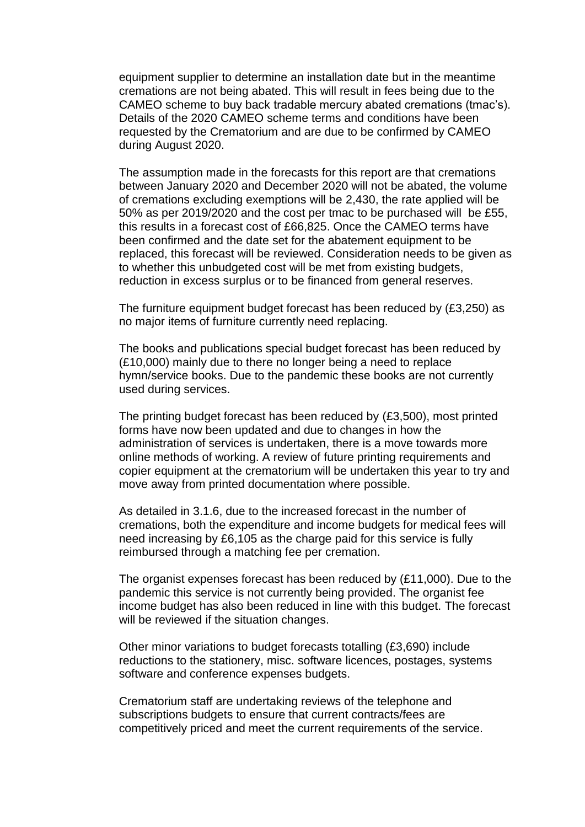equipment supplier to determine an installation date but in the meantime cremations are not being abated. This will result in fees being due to the CAMEO scheme to buy back tradable mercury abated cremations (tmac's). Details of the 2020 CAMEO scheme terms and conditions have been requested by the Crematorium and are due to be confirmed by CAMEO during August 2020.

The assumption made in the forecasts for this report are that cremations between January 2020 and December 2020 will not be abated, the volume of cremations excluding exemptions will be 2,430, the rate applied will be 50% as per 2019/2020 and the cost per tmac to be purchased will be £55, this results in a forecast cost of £66,825. Once the CAMEO terms have been confirmed and the date set for the abatement equipment to be replaced, this forecast will be reviewed. Consideration needs to be given as to whether this unbudgeted cost will be met from existing budgets, reduction in excess surplus or to be financed from general reserves.

The furniture equipment budget forecast has been reduced by (£3,250) as no major items of furniture currently need replacing.

The books and publications special budget forecast has been reduced by (£10,000) mainly due to there no longer being a need to replace hymn/service books. Due to the pandemic these books are not currently used during services.

The printing budget forecast has been reduced by (£3,500), most printed forms have now been updated and due to changes in how the administration of services is undertaken, there is a move towards more online methods of working. A review of future printing requirements and copier equipment at the crematorium will be undertaken this year to try and move away from printed documentation where possible.

As detailed in 3.1.6, due to the increased forecast in the number of cremations, both the expenditure and income budgets for medical fees will need increasing by £6,105 as the charge paid for this service is fully reimbursed through a matching fee per cremation.

The organist expenses forecast has been reduced by (£11,000). Due to the pandemic this service is not currently being provided. The organist fee income budget has also been reduced in line with this budget. The forecast will be reviewed if the situation changes.

Other minor variations to budget forecasts totalling (£3,690) include reductions to the stationery, misc. software licences, postages, systems software and conference expenses budgets.

Crematorium staff are undertaking reviews of the telephone and subscriptions budgets to ensure that current contracts/fees are competitively priced and meet the current requirements of the service.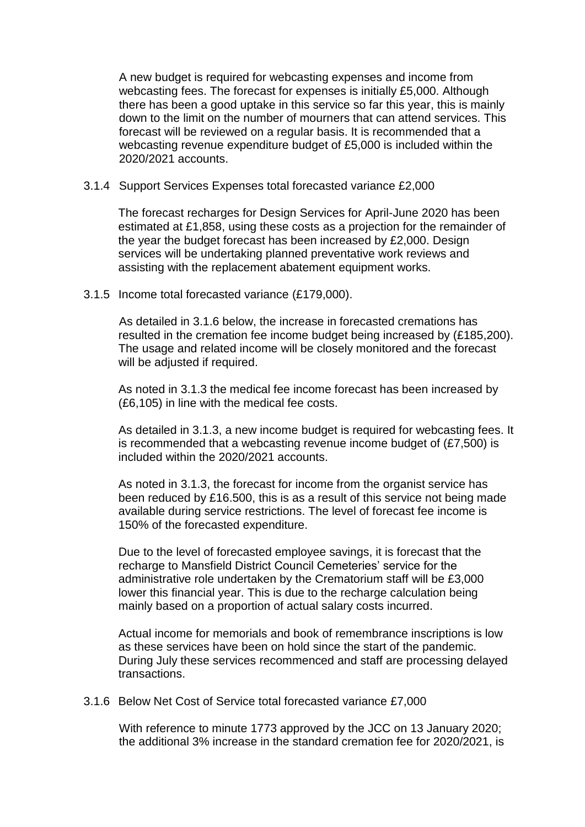A new budget is required for webcasting expenses and income from webcasting fees. The forecast for expenses is initially £5,000. Although there has been a good uptake in this service so far this year, this is mainly down to the limit on the number of mourners that can attend services. This forecast will be reviewed on a regular basis. It is recommended that a webcasting revenue expenditure budget of £5,000 is included within the 2020/2021 accounts.

#### 3.1.4 Support Services Expenses total forecasted variance £2,000

The forecast recharges for Design Services for April-June 2020 has been estimated at £1,858, using these costs as a projection for the remainder of the year the budget forecast has been increased by £2,000. Design services will be undertaking planned preventative work reviews and assisting with the replacement abatement equipment works.

#### 3.1.5 Income total forecasted variance (£179,000).

As detailed in 3.1.6 below, the increase in forecasted cremations has resulted in the cremation fee income budget being increased by (£185,200). The usage and related income will be closely monitored and the forecast will be adiusted if required.

As noted in 3.1.3 the medical fee income forecast has been increased by (£6,105) in line with the medical fee costs.

As detailed in 3.1.3, a new income budget is required for webcasting fees. It is recommended that a webcasting revenue income budget of (£7,500) is included within the 2020/2021 accounts.

As noted in 3.1.3, the forecast for income from the organist service has been reduced by £16.500, this is as a result of this service not being made available during service restrictions. The level of forecast fee income is 150% of the forecasted expenditure.

Due to the level of forecasted employee savings, it is forecast that the recharge to Mansfield District Council Cemeteries' service for the administrative role undertaken by the Crematorium staff will be £3,000 lower this financial year. This is due to the recharge calculation being mainly based on a proportion of actual salary costs incurred.

Actual income for memorials and book of remembrance inscriptions is low as these services have been on hold since the start of the pandemic. During July these services recommenced and staff are processing delayed transactions.

#### 3.1.6 Below Net Cost of Service total forecasted variance £7,000

With reference to minute 1773 approved by the JCC on 13 January 2020; the additional 3% increase in the standard cremation fee for 2020/2021, is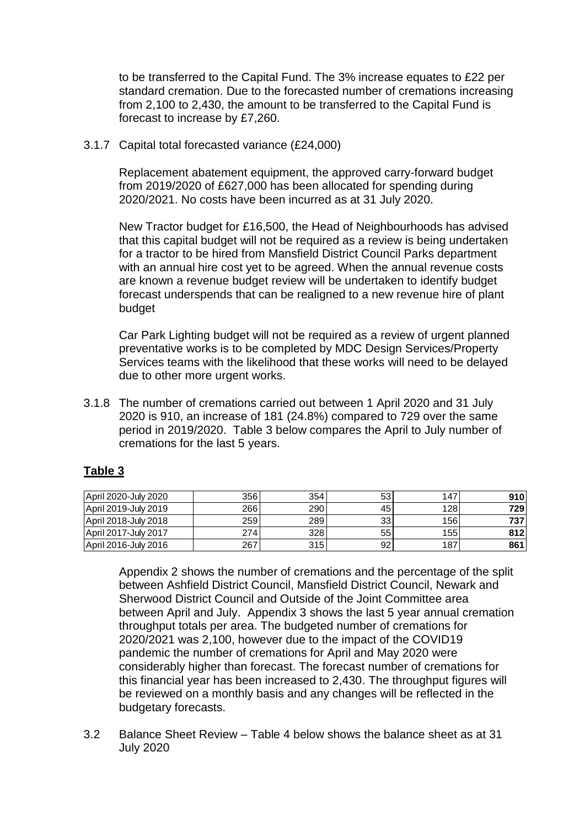to be transferred to the Capital Fund. The 3% increase equates to £22 per standard cremation. Due to the forecasted number of cremations increasing from 2,100 to 2,430, the amount to be transferred to the Capital Fund is forecast to increase by £7,260.

3.1.7 Capital total forecasted variance (£24,000)

Replacement abatement equipment, the approved carry-forward budget from 2019/2020 of £627,000 has been allocated for spending during 2020/2021. No costs have been incurred as at 31 July 2020.

New Tractor budget for £16,500, the Head of Neighbourhoods has advised that this capital budget will not be required as a review is being undertaken for a tractor to be hired from Mansfield District Council Parks department with an annual hire cost yet to be agreed. When the annual revenue costs are known a revenue budget review will be undertaken to identify budget forecast underspends that can be realigned to a new revenue hire of plant budget

Car Park Lighting budget will not be required as a review of urgent planned preventative works is to be completed by MDC Design Services/Property Services teams with the likelihood that these works will need to be delayed due to other more urgent works.

3.1.8 The number of cremations carried out between 1 April 2020 and 31 July 2020 is 910, an increase of 181 (24.8%) compared to 729 over the same period in 2019/2020. Table 3 below compares the April to July number of cremations for the last 5 years.

# **Table 3**

| April 2020-July 2020 | 3561 | 354  | 53 | 147  | 910 |
|----------------------|------|------|----|------|-----|
| April 2019-July 2019 | 266  | 290  | 45 | 128  | 729 |
| April 2018-July 2018 | 259  | 289  | 33 | 1561 | 737 |
| April 2017-July 2017 | 274  | 328  | 55 | 1551 | 812 |
| April 2016-July 2016 | 267  | 315I | 92 | 187  | 861 |

Appendix 2 shows the number of cremations and the percentage of the split between Ashfield District Council, Mansfield District Council, Newark and Sherwood District Council and Outside of the Joint Committee area between April and July. Appendix 3 shows the last 5 year annual cremation throughput totals per area. The budgeted number of cremations for 2020/2021 was 2,100, however due to the impact of the COVID19 pandemic the number of cremations for April and May 2020 were considerably higher than forecast. The forecast number of cremations for this financial year has been increased to 2,430. The throughput figures will be reviewed on a monthly basis and any changes will be reflected in the budgetary forecasts.

3.2 Balance Sheet Review – Table 4 below shows the balance sheet as at 31 July 2020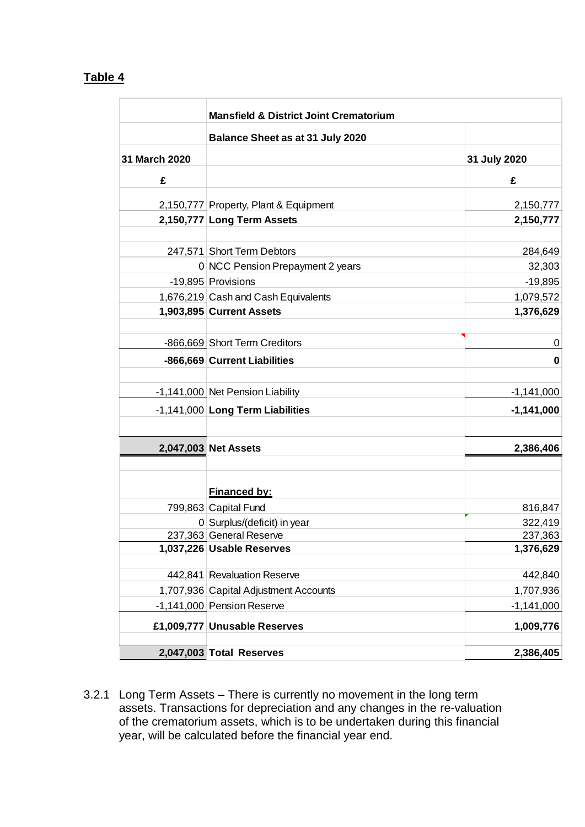# **Table 4**

|               | <b>Mansfield &amp; District Joint Crematorium</b> |              |
|---------------|---------------------------------------------------|--------------|
|               | Balance Sheet as at 31 July 2020                  |              |
| 31 March 2020 |                                                   | 31 July 2020 |
| £             |                                                   | £            |
|               | 2,150,777 Property, Plant & Equipment             | 2,150,777    |
|               | 2,150,777 Long Term Assets                        | 2,150,777    |
|               |                                                   |              |
|               | 247,571 Short Term Debtors                        | 284,649      |
|               | 0 NCC Pension Prepayment 2 years                  | 32,303       |
|               | -19,895 Provisions                                | $-19,895$    |
|               | 1,676,219 Cash and Cash Equivalents               | 1,079,572    |
|               | 1,903,895 Current Assets                          | 1,376,629    |
|               |                                                   |              |
|               | -866,669 Short Term Creditors                     | 0            |
|               | -866,669 Current Liabilities                      | 0            |
|               |                                                   |              |
|               | -1,141,000 Net Pension Liability                  | $-1,141,000$ |
|               | -1,141,000 Long Term Liabilities                  | $-1,141,000$ |
|               |                                                   |              |
|               | 2,047,003 Net Assets                              | 2,386,406    |
|               |                                                   |              |
|               | Financed by:                                      |              |
|               | 799,863 Capital Fund                              | 816,847      |
|               | 0 Surplus/(deficit) in year                       | 322,419      |
|               | 237,363 General Reserve                           | 237,363      |
|               | 1,037,226 Usable Reserves                         | 1,376,629    |
|               |                                                   |              |
|               | 442,841 Revaluation Reserve                       | 442,840      |
|               | 1,707,936 Capital Adjustment Accounts             | 1,707,936    |
|               | -1,141,000 Pension Reserve                        | $-1,141,000$ |
|               | £1,009,777 Unusable Reserves                      | 1,009,776    |
|               | 2,047,003 Total Reserves                          | 2,386,405    |
|               |                                                   |              |

3.2.1 Long Term Assets – There is currently no movement in the long term assets. Transactions for depreciation and any changes in the re-valuation of the crematorium assets, which is to be undertaken during this financial year, will be calculated before the financial year end.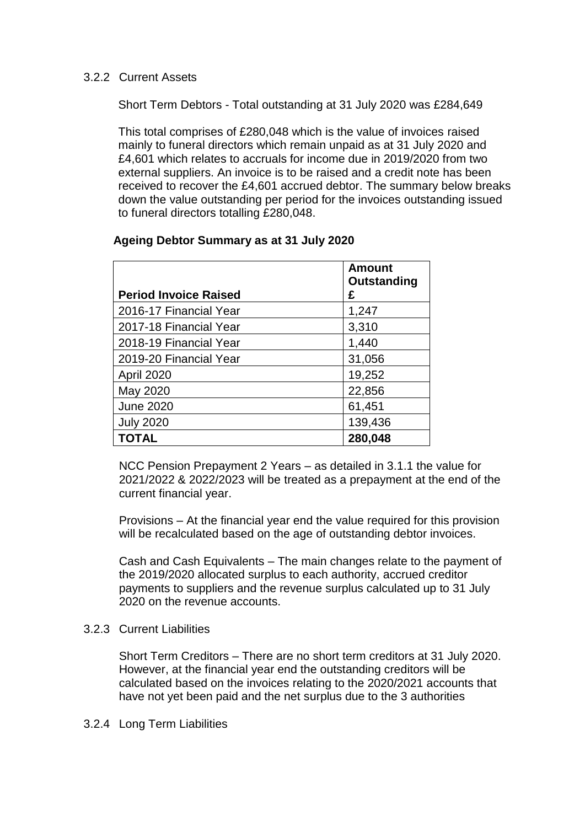### 3.2.2 Current Assets

Short Term Debtors - Total outstanding at 31 July 2020 was £284,649

This total comprises of £280,048 which is the value of invoices raised mainly to funeral directors which remain unpaid as at 31 July 2020 and £4,601 which relates to accruals for income due in 2019/2020 from two external suppliers. An invoice is to be raised and a credit note has been received to recover the £4,601 accrued debtor. The summary below breaks down the value outstanding per period for the invoices outstanding issued to funeral directors totalling £280,048.

|                              | <b>Amount</b><br>Outstanding |
|------------------------------|------------------------------|
| <b>Period Invoice Raised</b> | £                            |
| 2016-17 Financial Year       | 1,247                        |
| 2017-18 Financial Year       | 3,310                        |
| 2018-19 Financial Year       | 1,440                        |
| 2019-20 Financial Year       | 31,056                       |
| April 2020                   | 19,252                       |
| May 2020                     | 22,856                       |
| <b>June 2020</b>             | 61,451                       |
| <b>July 2020</b>             | 139,436                      |
| <b>TOTAL</b>                 | 280,048                      |

### **Ageing Debtor Summary as at 31 July 2020**

NCC Pension Prepayment 2 Years – as detailed in 3.1.1 the value for 2021/2022 & 2022/2023 will be treated as a prepayment at the end of the current financial year.

Provisions – At the financial year end the value required for this provision will be recalculated based on the age of outstanding debtor invoices.

Cash and Cash Equivalents – The main changes relate to the payment of the 2019/2020 allocated surplus to each authority, accrued creditor payments to suppliers and the revenue surplus calculated up to 31 July 2020 on the revenue accounts.

### 3.2.3 Current Liabilities

Short Term Creditors – There are no short term creditors at 31 July 2020. However, at the financial year end the outstanding creditors will be calculated based on the invoices relating to the 2020/2021 accounts that have not yet been paid and the net surplus due to the 3 authorities

### 3.2.4 Long Term Liabilities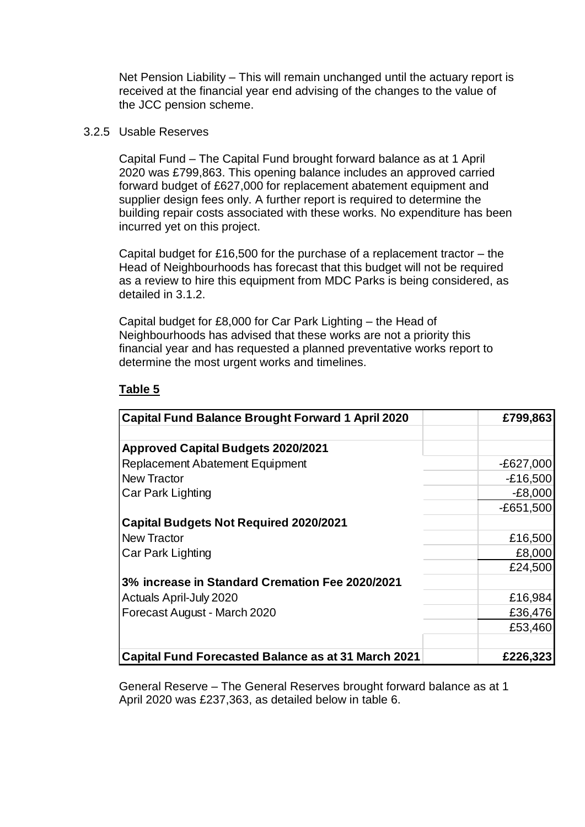Net Pension Liability – This will remain unchanged until the actuary report is received at the financial year end advising of the changes to the value of the JCC pension scheme.

#### 3.2.5 Usable Reserves

Capital Fund – The Capital Fund brought forward balance as at 1 April 2020 was £799,863. This opening balance includes an approved carried forward budget of £627,000 for replacement abatement equipment and supplier design fees only. A further report is required to determine the building repair costs associated with these works. No expenditure has been incurred yet on this project.

Capital budget for £16,500 for the purchase of a replacement tractor – the Head of Neighbourhoods has forecast that this budget will not be required as a review to hire this equipment from MDC Parks is being considered, as detailed in 3.1.2.

Capital budget for £8,000 for Car Park Lighting – the Head of Neighbourhoods has advised that these works are not a priority this financial year and has requested a planned preventative works report to determine the most urgent works and timelines.

### **Table 5**

| <b>Capital Fund Balance Brought Forward 1 April 2020</b>   | £799,863    |
|------------------------------------------------------------|-------------|
|                                                            |             |
| <b>Approved Capital Budgets 2020/2021</b>                  |             |
| <b>Replacement Abatement Equipment</b>                     | $-E627,000$ |
| <b>New Tractor</b>                                         | $-£16,500$  |
| Car Park Lighting                                          | $-E8,000$   |
|                                                            | $-E651,500$ |
| <b>Capital Budgets Not Required 2020/2021</b>              |             |
| <b>New Tractor</b>                                         | £16,500     |
| Car Park Lighting                                          | £8,000      |
|                                                            | £24,500     |
| 3% increase in Standard Cremation Fee 2020/2021            |             |
| <b>Actuals April-July 2020</b>                             | £16,984     |
| Forecast August - March 2020                               | £36,476     |
|                                                            | £53,460     |
|                                                            |             |
| <b>Capital Fund Forecasted Balance as at 31 March 2021</b> | £226,323    |

General Reserve – The General Reserves brought forward balance as at 1 April 2020 was £237,363, as detailed below in table 6.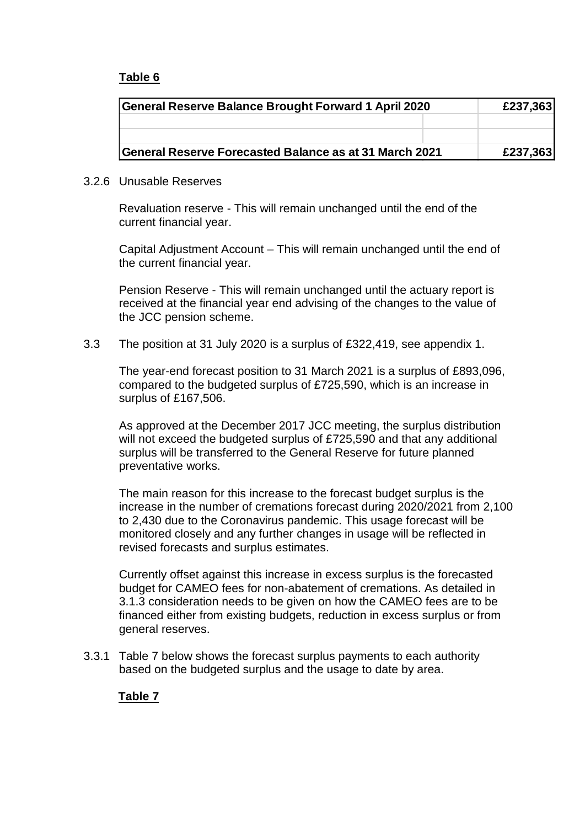# **Table 6**

| General Reserve Balance Brought Forward 1 April 2020   |          | £237,363 |
|--------------------------------------------------------|----------|----------|
|                                                        |          |          |
|                                                        |          |          |
| General Reserve Forecasted Balance as at 31 March 2021 | £237,363 |          |

#### 3.2.6 Unusable Reserves

Revaluation reserve - This will remain unchanged until the end of the current financial year.

Capital Adjustment Account – This will remain unchanged until the end of the current financial year.

Pension Reserve - This will remain unchanged until the actuary report is received at the financial year end advising of the changes to the value of the JCC pension scheme.

3.3 The position at 31 July 2020 is a surplus of £322,419, see appendix 1.

The year-end forecast position to 31 March 2021 is a surplus of £893,096, compared to the budgeted surplus of £725,590, which is an increase in surplus of £167,506.

As approved at the December 2017 JCC meeting, the surplus distribution will not exceed the budgeted surplus of £725,590 and that any additional surplus will be transferred to the General Reserve for future planned preventative works.

The main reason for this increase to the forecast budget surplus is the increase in the number of cremations forecast during 2020/2021 from 2,100 to 2,430 due to the Coronavirus pandemic. This usage forecast will be monitored closely and any further changes in usage will be reflected in revised forecasts and surplus estimates.

Currently offset against this increase in excess surplus is the forecasted budget for CAMEO fees for non-abatement of cremations. As detailed in 3.1.3 consideration needs to be given on how the CAMEO fees are to be financed either from existing budgets, reduction in excess surplus or from general reserves.

3.3.1 Table 7 below shows the forecast surplus payments to each authority based on the budgeted surplus and the usage to date by area.

# **Table 7**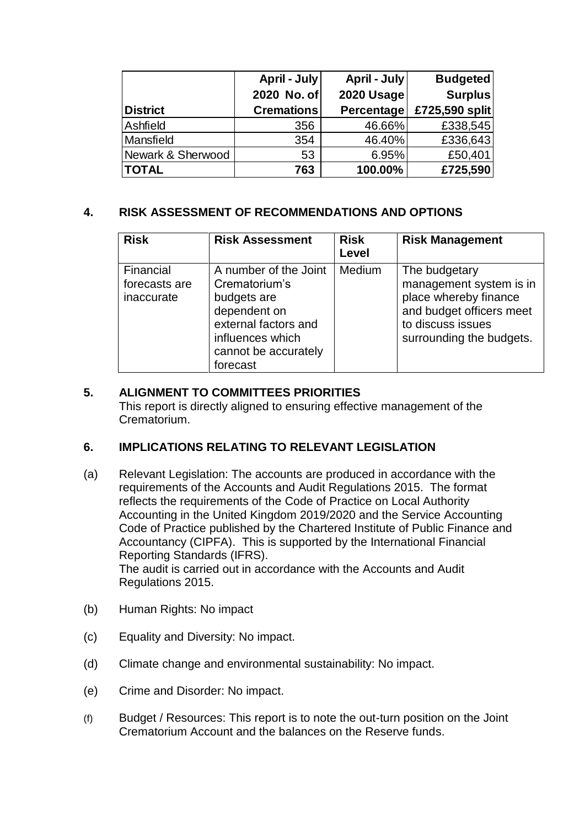|                   | April - July      | April - July | <b>Budgeted</b> |
|-------------------|-------------------|--------------|-----------------|
|                   | 2020 No. of       | 2020 Usage   | <b>Surplus</b>  |
| <b>District</b>   | <b>Cremations</b> | Percentage   | £725,590 split  |
| Ashfield          | 356               | 46.66%       | £338,545        |
| Mansfield         | 354               | 46.40%       | £336,643        |
| Newark & Sherwood | 53                | 6.95%        | £50,401         |
| <b>TOTAL</b>      | 763               | 100.00%      | £725,590        |

## **4. RISK ASSESSMENT OF RECOMMENDATIONS AND OPTIONS**

| <b>Risk</b>                              | <b>Risk Assessment</b>                                                                                                                                | <b>Risk</b><br>Level | <b>Risk Management</b>                                                                                                                         |
|------------------------------------------|-------------------------------------------------------------------------------------------------------------------------------------------------------|----------------------|------------------------------------------------------------------------------------------------------------------------------------------------|
| Financial<br>forecasts are<br>inaccurate | A number of the Joint<br>Crematorium's<br>budgets are<br>dependent on<br>external factors and<br>influences which<br>cannot be accurately<br>forecast | <b>Medium</b>        | The budgetary<br>management system is in<br>place whereby finance<br>and budget officers meet<br>to discuss issues<br>surrounding the budgets. |

## **5. ALIGNMENT TO COMMITTEES PRIORITIES**

This report is directly aligned to ensuring effective management of the Crematorium.

# **6. IMPLICATIONS RELATING TO RELEVANT LEGISLATION**

(a) Relevant Legislation: The accounts are produced in accordance with the requirements of the Accounts and Audit Regulations 2015. The format reflects the requirements of the Code of Practice on Local Authority Accounting in the United Kingdom 2019/2020 and the Service Accounting Code of Practice published by the Chartered Institute of Public Finance and Accountancy (CIPFA). This is supported by the International Financial Reporting Standards (IFRS). The audit is carried out in accordance with the Accounts and Audit Regulations 2015.

(b) Human Rights: No impact

- (c) Equality and Diversity: No impact.
- (d) Climate change and environmental sustainability: No impact.
- (e) Crime and Disorder: No impact.
- (f) Budget / Resources: This report is to note the out-turn position on the Joint Crematorium Account and the balances on the Reserve funds.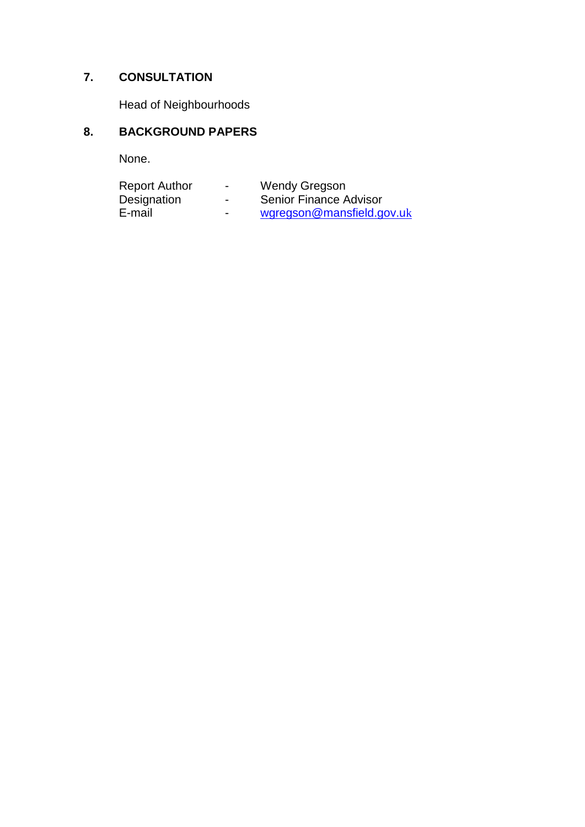# **7. CONSULTATION**

Head of Neighbourhoods

# **8. BACKGROUND PAPERS**

None.

| <b>Report Author</b> | $\overline{\phantom{0}}$ | <b>Wendy Gregson</b>      |
|----------------------|--------------------------|---------------------------|
| Designation          | $\overline{\phantom{0}}$ | Senior Finance Advisor    |
| E-mail               | $\overline{\phantom{0}}$ | wgregson@mansfield.gov.uk |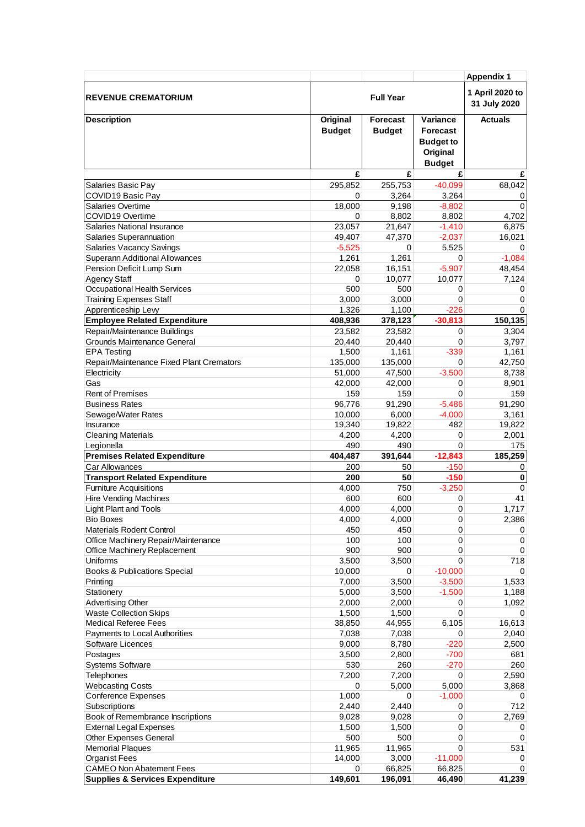|                                                                        |                           |                                  |                                                                              | <b>Appendix 1</b> |
|------------------------------------------------------------------------|---------------------------|----------------------------------|------------------------------------------------------------------------------|-------------------|
| <b>REVENUE CREMATORIUM</b>                                             | <b>Full Year</b>          |                                  | 1 April 2020 to<br>31 July 2020                                              |                   |
| <b>Description</b>                                                     | Original<br><b>Budget</b> | <b>Forecast</b><br><b>Budget</b> | Variance<br><b>Forecast</b><br><b>Budget to</b><br>Original<br><b>Budget</b> | <b>Actuals</b>    |
|                                                                        | £                         | £                                | £                                                                            | £                 |
| Salaries Basic Pay                                                     | 295,852                   | 255,753                          | $-40,099$                                                                    | 68,042            |
| COVID19 Basic Pay                                                      | 0                         | 3,264                            | 3,264                                                                        | 0                 |
| Salaries Overtime                                                      | 18,000                    | 9,198                            | $-8,802$                                                                     | $\Omega$          |
| COVID19 Overtime<br>Salaries National Insurance                        | 0<br>23,057               | 8,802<br>21,647                  | 8,802<br>$-1,410$                                                            | 4,702<br>6,875    |
| Salaries Superannuation                                                | 49,407                    | 47,370                           | $-2,037$                                                                     | 16,021            |
| <b>Salaries Vacancy Savings</b>                                        | $-5,525$                  | 0                                | 5,525                                                                        | 0                 |
| Superann Additional Allowances                                         | 1,261                     | 1,261                            | 0                                                                            | $-1,084$          |
| Pension Deficit Lump Sum                                               | 22,058                    | 16,151                           | $-5,907$                                                                     | 48,454            |
| <b>Agency Staff</b>                                                    | 0                         | 10,077                           | 10,077                                                                       | 7,124             |
| Occupational Health Services                                           | 500                       | 500                              | 0                                                                            | 0                 |
| <b>Training Expenses Staff</b>                                         | 3,000                     | 3,000                            | $\mathbf 0$                                                                  | 0                 |
| Apprenticeship Levy                                                    | 1,326                     | 1,100                            | $-226$                                                                       | 0                 |
| <b>Employee Related Expenditure</b>                                    | 408,936                   | 378,123                          | $-30,813$                                                                    | 150,135           |
| Repair/Maintenance Buildings                                           | 23,582                    | 23,582                           | 0                                                                            | 3,304             |
| Grounds Maintenance General                                            | 20,440                    | 20,440                           | $\Omega$                                                                     | 3,797             |
| <b>EPA Testing</b>                                                     | 1,500                     | 1,161                            | $-339$                                                                       | 1,161             |
| Repair/Maintenance Fixed Plant Cremators                               | 135,000                   | 135,000                          | 0                                                                            | 42,750            |
| Electricity<br>Gas                                                     | 51,000                    | 47,500                           | $-3,500$                                                                     | 8,738             |
| <b>Rent of Premises</b>                                                | 42,000<br>159             | 42,000<br>159                    | 0<br>$\Omega$                                                                | 8,901<br>159      |
| <b>Business Rates</b>                                                  | 96,776                    | 91,290                           | $-5,486$                                                                     | 91,290            |
| Sewage/Water Rates                                                     | 10,000                    | 6,000                            | $-4,000$                                                                     | 3,161             |
| Insurance                                                              | 19,340                    | 19,822                           | 482                                                                          | 19,822            |
| <b>Cleaning Materials</b>                                              | 4,200                     | 4,200                            | 0                                                                            | 2,001             |
| Legionella                                                             | 490                       | 490                              | 0                                                                            | 175               |
| <b>Premises Related Expenditure</b>                                    | 404,487                   | 391,644                          | $-12,843$                                                                    | 185,259           |
| Car Allowances                                                         | 200                       | 50                               | $-150$                                                                       | 0                 |
| <b>Transport Related Expenditure</b>                                   | 200                       | 50                               | $-150$                                                                       | 0                 |
| <b>Furniture Acquisitions</b>                                          | 4,000                     | 750                              | $-3,250$                                                                     | $\mathbf 0$       |
| <b>Hire Vending Machines</b>                                           | 600                       | 600                              | 0                                                                            | 41                |
| Light Plant and Tools                                                  | 4,000                     | 4.000                            | $\mathbf 0$                                                                  | 1,717             |
| <b>Bio Boxes</b>                                                       | 4,000                     | 4,000                            | 0                                                                            | 2,386             |
| <b>Materials Rodent Control</b><br>Office Machinery Repair/Maintenance | 450<br>100                | 450<br>100                       | 0<br>$\mathbf 0$                                                             | 0<br>0            |
| Office Machinery Replacement                                           | 900                       | 900                              | 0                                                                            | 0                 |
| Uniforms                                                               | 3,500                     | 3,500                            | 0                                                                            | 718               |
| <b>Books &amp; Publications Special</b>                                | 10,000                    | 0                                | $-10,000$                                                                    | 0                 |
| Printing                                                               | 7,000                     | 3,500                            | $-3,500$                                                                     | 1,533             |
| Stationery                                                             | 5,000                     | 3,500                            | $-1,500$                                                                     | 1,188             |
| <b>Advertising Other</b>                                               | 2,000                     | 2,000                            | 0                                                                            | 1,092             |
| <b>Waste Collection Skips</b>                                          | 1,500                     | 1,500                            | $\Omega$                                                                     | $\Omega$          |
| <b>Medical Referee Fees</b>                                            | 38,850                    | 44,955                           | 6,105                                                                        | 16,613            |
| Payments to Local Authorities                                          | 7,038                     | 7,038                            | 0                                                                            | 2,040             |
| Software Licences                                                      | 9,000                     | 8,780                            | $-220$                                                                       | 2,500             |
| Postages                                                               | 3,500                     | 2,800                            | $-700$                                                                       | 681               |
| <b>Systems Software</b>                                                | 530                       | 260                              | $-270$                                                                       | 260               |
| Telephones                                                             | 7,200                     | 7,200                            | 0                                                                            | 2,590             |
| <b>Webcasting Costs</b><br><b>Conference Expenses</b>                  | 0<br>1,000                | 5,000<br>0                       | 5,000<br>$-1,000$                                                            | 3,868<br>0        |
| Subscriptions                                                          | 2,440                     | 2,440                            | 0                                                                            | 712               |
| Book of Remembrance Inscriptions                                       | 9,028                     | 9,028                            | $\mathbf 0$                                                                  | 2,769             |
| <b>External Legal Expenses</b>                                         | 1,500                     | 1,500                            | 0                                                                            | 0                 |
| <b>Other Expenses General</b>                                          | 500                       | 500                              | $\mathbf 0$                                                                  | 0                 |
| <b>Memorial Plaques</b>                                                | 11,965                    | 11,965                           | $\Omega$                                                                     | 531               |
| <b>Organist Fees</b>                                                   | 14,000                    | 3,000                            | $-11,000$                                                                    | 0                 |
| <b>CAMEO Non Abatement Fees</b>                                        | 0                         | 66,825                           | 66,825                                                                       | 0                 |
| <b>Supplies &amp; Services Expenditure</b>                             | 149,601                   | 196,091                          | 46,490                                                                       | 41,239            |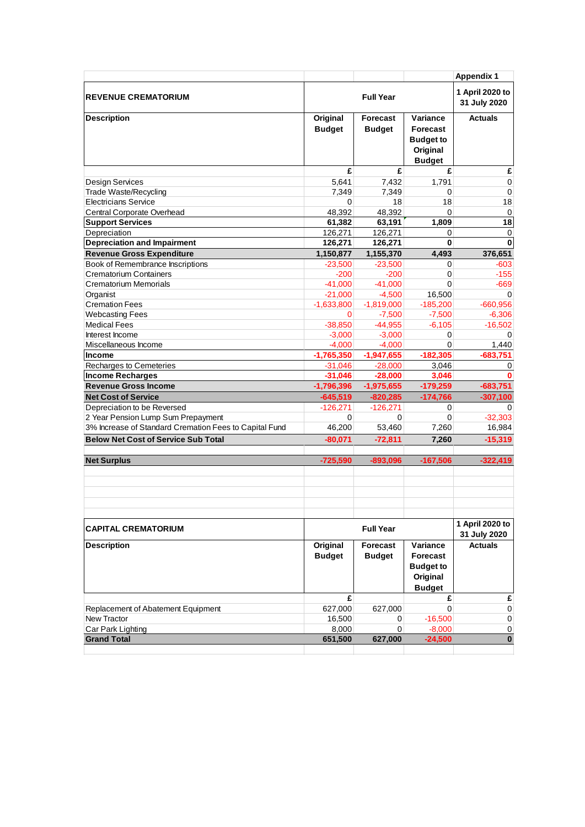|                                                           |                          |                          |                          | <b>Appendix 1</b>               |
|-----------------------------------------------------------|--------------------------|--------------------------|--------------------------|---------------------------------|
| <b>REVENUE CREMATORIUM</b>                                |                          | <b>Full Year</b>         |                          | 1 April 2020 to<br>31 July 2020 |
| <b>Description</b>                                        | Original                 | <b>Forecast</b>          | Variance                 | <b>Actuals</b>                  |
|                                                           | <b>Budget</b>            | <b>Budget</b>            | Forecast                 |                                 |
|                                                           |                          |                          | <b>Budget to</b>         |                                 |
|                                                           |                          |                          | Original                 |                                 |
|                                                           | £                        | £                        | <b>Budget</b><br>£       | £                               |
| <b>Design Services</b>                                    | 5,641                    | 7,432                    | 1,791                    | $\mathbf 0$                     |
| Trade Waste/Recycling                                     | 7,349                    | 7,349                    | $\Omega$                 | $\mathbf 0$                     |
| <b>Electricians Service</b>                               | 0                        | 18                       | 18                       | 18                              |
| Central Corporate Overhead                                | 48,392                   | 48,392                   | 0                        | 0                               |
| <b>Support Services</b>                                   | 61,382                   | 63,191                   | 1,809                    | 18                              |
| Depreciation                                              | 126,271                  | 126,271                  | 0                        | 0                               |
| <b>Depreciation and Impairment</b>                        | 126,271                  | 126,271                  | 0                        | $\pmb{0}$                       |
| <b>Revenue Gross Expenditure</b>                          | 1,150,877                | 1,155,370                | 4,493                    | 376,651                         |
| Book of Remembrance Inscriptions                          | $-23,500$                | $-23,500$                | 0                        | -603                            |
| <b>Crematorium Containers</b>                             | $-200$                   | $-200$                   | 0                        | $-155$                          |
| Crematorium Memorials                                     | $-41,000$                | $-41.000$                | 0                        | $-669$                          |
| Organist                                                  | $-21,000$                | $-4,500$                 | 16,500                   | $\Omega$                        |
| <b>Cremation Fees</b>                                     | $-1,633,800$             | $-1,819,000$             | $-185,200$               | $-660,956$                      |
| <b>Webcasting Fees</b>                                    | $\Omega$                 | $-7,500$                 | $-7,500$                 | $-6,306$                        |
| <b>Medical Fees</b>                                       | $-38,850$                | $-44,955$                | $-6,105$                 | $-16,502$                       |
| Interest Income                                           | $-3,000$                 | $-3,000$                 | 0                        | 0                               |
| Miscellaneous Income                                      | $-4,000$                 | $-4,000$                 | $\Omega$                 | 1,440                           |
| Income                                                    | $-1,765,350$             | $-1,947,655$             | $-182,305$               | $-683.751$                      |
| Recharges to Cemeteries                                   | $-31,046$                | $-28,000$                | 3,046                    | 0                               |
| <b>Income Recharges</b>                                   | $-31,046$                | $-28,000$                | 3,046                    | 0                               |
| <b>Revenue Gross Income</b>                               | $-1,796,396$             | $-1,975,655$             | $-179,259$<br>$-174,766$ | $-683,751$                      |
| <b>Net Cost of Service</b><br>Depreciation to be Reversed | $-645,519$<br>$-126,271$ | $-820,285$<br>$-126,271$ | 0                        | $-307,100$<br>$\Omega$          |
| 2 Year Pension Lump Sum Prepayment                        | 0                        | 0                        | 0                        | $-32,303$                       |
| 3% Increase of Standard Cremation Fees to Capital Fund    | 46,200                   | 53,460                   | 7,260                    | 16,984                          |
| <b>Below Net Cost of Service Sub Total</b>                | $-80,071$                | $-72,811$                | 7,260                    | $-15,319$                       |
|                                                           |                          |                          |                          |                                 |
| <b>Net Surplus</b>                                        | $-725,590$               | $-893,096$               | $-167,506$               | $-322,419$                      |
|                                                           |                          |                          |                          |                                 |
|                                                           |                          |                          |                          |                                 |
|                                                           |                          |                          |                          |                                 |
|                                                           |                          |                          |                          |                                 |
|                                                           |                          |                          |                          |                                 |
| <b>CAPITAL CREMATORIUM</b>                                |                          | <b>Full Year</b>         |                          | 1 April 2020 to<br>31 July 2020 |
| <b>Description</b>                                        | Original                 | Forecast                 | Variance                 | <b>Actuals</b>                  |
|                                                           | <b>Budget</b>            | <b>Budget</b>            | Forecast                 |                                 |
|                                                           |                          |                          | <b>Budget to</b>         |                                 |
|                                                           |                          |                          | Original                 |                                 |
|                                                           |                          |                          | <b>Budget</b>            |                                 |
|                                                           | £                        |                          | £                        | £                               |
| Replacement of Abatement Equipment                        | 627,000                  | 627,000                  | $\Omega$                 | $\pmb{0}$                       |
| <b>New Tractor</b>                                        | 16,500                   | $\Omega$                 | $-16,500$                | $\mathbf 0$                     |
| Car Park Lighting                                         | 8,000                    | $\overline{0}$           | $-8,000$                 | 0                               |
| <b>Grand Total</b>                                        | 651,500                  | 627,000                  | $-24,500$                | $\overline{\mathbf{0}}$         |
|                                                           |                          |                          |                          |                                 |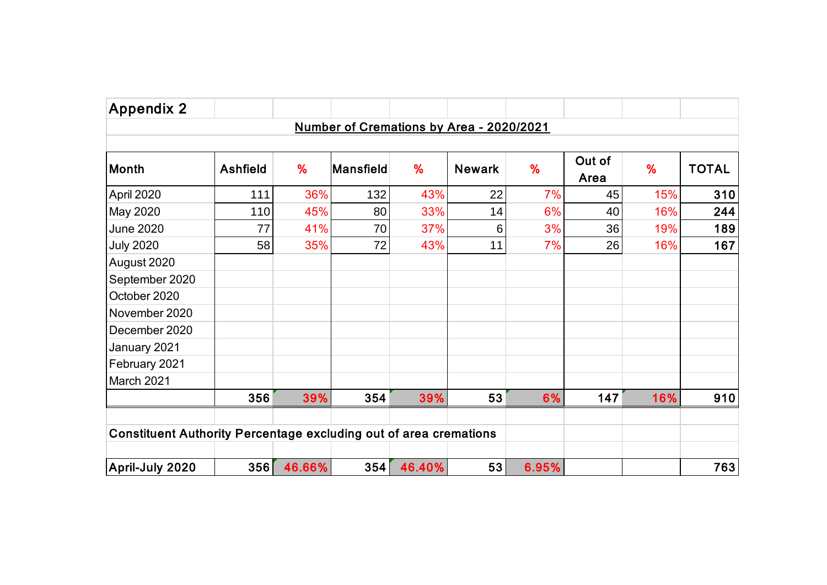| <b>Appendix 2</b>                                                        |                 |        |           |        |                                          |       |                |     |              |
|--------------------------------------------------------------------------|-----------------|--------|-----------|--------|------------------------------------------|-------|----------------|-----|--------------|
|                                                                          |                 |        |           |        | Number of Cremations by Area - 2020/2021 |       |                |     |              |
| Month                                                                    | <b>Ashfield</b> | %      | Mansfield | %      | <b>Newark</b>                            | %     | Out of<br>Area | %   | <b>TOTAL</b> |
| April 2020                                                               | 111             | 36%    | 132       | 43%    | 22                                       | 7%    | 45             | 15% | 310          |
| May 2020                                                                 | 110             | 45%    | 80        | 33%    | 14                                       | 6%    | 40             | 16% | 244          |
| <b>June 2020</b>                                                         | 77              | 41%    | 70        | 37%    | 6                                        | 3%    | 36             | 19% | 189          |
| <b>July 2020</b>                                                         | 58              | 35%    | 72        | 43%    | 11                                       | 7%    | 26             | 16% | 167          |
| August 2020                                                              |                 |        |           |        |                                          |       |                |     |              |
| September 2020                                                           |                 |        |           |        |                                          |       |                |     |              |
| October 2020                                                             |                 |        |           |        |                                          |       |                |     |              |
| November 2020                                                            |                 |        |           |        |                                          |       |                |     |              |
| December 2020                                                            |                 |        |           |        |                                          |       |                |     |              |
| January 2021                                                             |                 |        |           |        |                                          |       |                |     |              |
| February 2021                                                            |                 |        |           |        |                                          |       |                |     |              |
| March 2021                                                               |                 |        |           |        |                                          |       |                |     |              |
|                                                                          | 356             | 39%    | 354       | 39%    | 53                                       | 6%    | 147            | 16% | 910          |
| <b>Constituent Authority Percentage excluding out of area cremations</b> |                 |        |           |        |                                          |       |                |     |              |
| April-July 2020                                                          | 356             | 46.66% | 354       | 46.40% | 53                                       | 6.95% |                |     | 763          |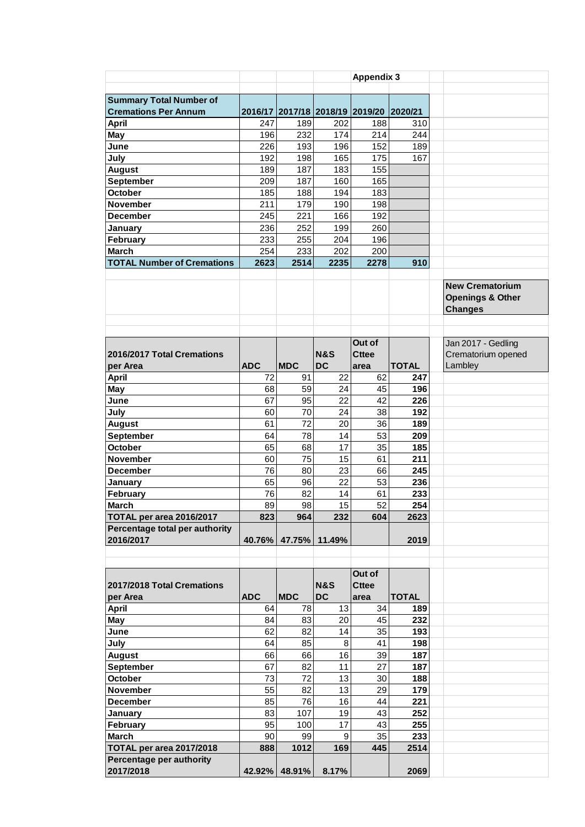|                                   |            |            |                                 | <b>Appendix 3</b> |              |                                                                         |
|-----------------------------------|------------|------------|---------------------------------|-------------------|--------------|-------------------------------------------------------------------------|
|                                   |            |            |                                 |                   |              |                                                                         |
| <b>Summary Total Number of</b>    |            |            |                                 |                   |              |                                                                         |
| <b>Cremations Per Annum</b>       |            |            | 2016/17 2017/18 2018/19 2019/20 |                   | 2020/21      |                                                                         |
| April                             | 247        | 189        | 202                             | 188               | 310          |                                                                         |
| May                               | 196        | 232        | 174                             | 214               | 244          |                                                                         |
| June                              | 226        | 193        | 196                             | 152               | 189          |                                                                         |
|                                   |            |            |                                 |                   |              |                                                                         |
| July                              | 192        | 198        | 165                             | 175               | 167          |                                                                         |
| <b>August</b>                     | 189        | 187        | 183                             | 155               |              |                                                                         |
| September                         | 209        | 187        | 160                             | 165               |              |                                                                         |
| <b>October</b>                    | 185        | 188        | 194                             | 183               |              |                                                                         |
| <b>November</b>                   | 211        | 179        | 190                             | 198               |              |                                                                         |
| December                          | 245        | 221        | 166                             | 192               |              |                                                                         |
| January                           | 236        | 252        | 199                             | 260               |              |                                                                         |
| February                          | 233        | 255        | 204                             | 196               |              |                                                                         |
| <b>March</b>                      | 254        | 233        | 202                             | 200               |              |                                                                         |
| <b>TOTAL Number of Cremations</b> | 2623       | 2514       | 2235                            | 2278              | 910          |                                                                         |
|                                   |            |            |                                 |                   |              |                                                                         |
|                                   |            |            |                                 |                   |              | <b>New Crematorium</b><br><b>Openings &amp; Other</b><br><b>Changes</b> |
|                                   |            |            |                                 |                   |              |                                                                         |
|                                   |            |            |                                 | Out of            |              | Jan 2017 - Gedling                                                      |
| 2016/2017 Total Cremations        |            |            | <b>N&amp;S</b>                  | <b>Cttee</b>      |              | Crematorium opened                                                      |
| per Area                          | <b>ADC</b> | <b>MDC</b> | <b>DC</b>                       | area              | <b>TOTAL</b> | Lambley                                                                 |
| <b>April</b>                      | 72         | 91         | 22                              | 62                | 247          |                                                                         |
| May                               | 68         | 59         | 24                              | 45                | 196          |                                                                         |
| June                              | 67         | 95         | 22                              | 42                | 226          |                                                                         |
| July                              | 60         | 70         | 24                              | 38                | 192          |                                                                         |
|                                   | 61         | 72         | 20                              | 36                | 189          |                                                                         |
| <b>August</b>                     |            |            |                                 |                   |              |                                                                         |
| September                         | 64         | 78         | 14                              | 53                | 209          |                                                                         |
| <b>October</b>                    | 65         | 68         | 17                              | 35                | 185          |                                                                         |
| <b>November</b>                   | 60         | 75         | 15                              | 61                | 211          |                                                                         |
| <b>December</b>                   | 76         | 80         | 23                              | 66                | 245          |                                                                         |
| January                           | 65         | 96         | 22                              | 53                | 236          |                                                                         |
| February                          | 76         | 82         | 14                              | 61                | 233          |                                                                         |
| <b>March</b>                      | 89         | 98         | 15                              | 52                | 254          |                                                                         |
| TOTAL per area 2016/2017          | 823        | 964        | 232                             | 604               | 2623         |                                                                         |
| Percentage total per authority    |            |            |                                 |                   |              |                                                                         |
| 2016/2017                         | 40.76%     | 47.75%     | 11.49%                          |                   | 2019         |                                                                         |
|                                   |            |            |                                 |                   |              |                                                                         |
|                                   |            |            |                                 | Out of            |              |                                                                         |
| 2017/2018 Total Cremations        |            |            | <b>N&amp;S</b>                  | <b>Cttee</b>      |              |                                                                         |
| per Area                          | <b>ADC</b> | <b>MDC</b> | <b>DC</b>                       | area              | <b>TOTAL</b> |                                                                         |
|                                   |            |            |                                 |                   |              |                                                                         |
| <b>April</b>                      | 64         | 78         | 13                              | 34                | 189          |                                                                         |
| May                               | 84         | 83         | 20                              | 45                | 232          |                                                                         |
| June                              | 62         | 82         | 14                              | 35                | 193          |                                                                         |
| July                              | 64         | 85         | 8                               | 41                | 198          |                                                                         |
| <b>August</b>                     | 66         | 66         | 16                              | 39                | 187          |                                                                         |
| September                         | 67         | 82         | 11                              | 27                | 187          |                                                                         |
| October                           | 73         | 72         | 13                              | 30                | 188          |                                                                         |
| November                          | 55         | 82         | 13                              | 29                | 179          |                                                                         |
| <b>December</b>                   | 85         | 76         | 16                              | 44                | 221          |                                                                         |
| January                           | 83         | 107        | 19                              | 43                | 252          |                                                                         |
| February                          | 95         | 100        | 17                              | 43                | 255          |                                                                         |
| <b>March</b>                      | 90         | 99         | 9                               | 35                | 233          |                                                                         |
|                                   | 888        | 1012       | 169                             | 445               | 2514         |                                                                         |
| TOTAL per area 2017/2018          |            |            |                                 |                   |              |                                                                         |
| Percentage per authority          |            |            |                                 |                   |              |                                                                         |
| 2017/2018                         | 42.92%     | 48.91%     | 8.17%                           |                   | 2069         |                                                                         |